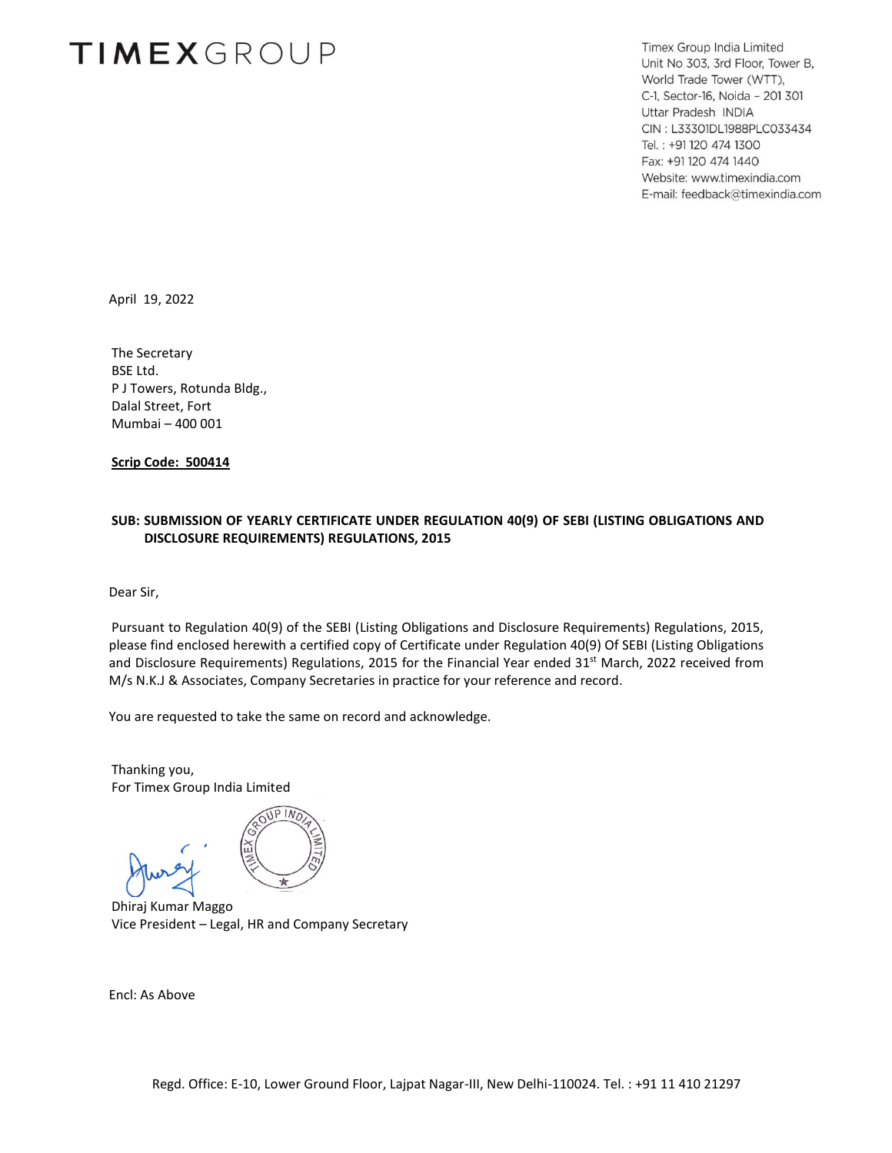# **TIMEXGROUP**

Timex Group India Limited Unit No 303, 3rd Floor, Tower B, World Trade Tower (WTT), C-1, Sector-16, Noida - 201 301 Uttar Pradesh INDIA CIN: L33301DL1988PLC033434 Tel.: +91 120 474 1300 Fax: +91 120 474 1440 Website: www.timexindia.com E-mail: feedback@timexindia.com

April 19, 2022

The Secretary BSE Ltd. P J Towers, Rotunda Bldg., Dalal Street, Fort Mumbai – 400 001

**Scrip Code: 500414**

#### **SUB: SUBMISSION OF YEARLY CERTIFICATE UNDER REGULATION 40(9) OF SEBI (LISTING OBLIGATIONS AND DISCLOSURE REQUIREMENTS) REGULATIONS, 2015**

Dear Sir,

Pursuant to Regulation 40(9) of the SEBI (Listing Obligations and Disclosure Requirements) Regulations, 2015, please find enclosed herewith a certified copy of Certificate under Regulation 40(9) Of SEBI (Listing Obligations and Disclosure Requirements) Regulations, 2015 for the Financial Year ended 31<sup>st</sup> March, 2022 received from M/s N.K.J & Associates, Company Secretaries in practice for your reference and record.

You are requested to take the same on record and acknowledge.

Thanking you, For Timex Group India Limited



Dhiraj Kumar Maggo Vice President – Legal, HR and Company Secretary

Encl: As Above